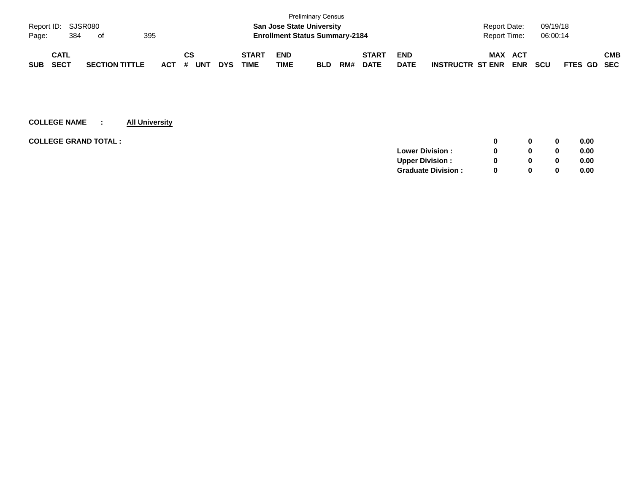|            |                    |  |                       |  |         |    |            |            |              |                                       | <b>Preliminary Census</b> |     |              |             |                         |                     |            |            |             |            |
|------------|--------------------|--|-----------------------|--|---------|----|------------|------------|--------------|---------------------------------------|---------------------------|-----|--------------|-------------|-------------------------|---------------------|------------|------------|-------------|------------|
|            | Report ID: SJSR080 |  |                       |  |         |    |            |            |              | <b>San Jose State University</b>      |                           |     |              |             |                         | <b>Report Date:</b> |            | 09/19/18   |             |            |
| Page:      | 395<br>384<br>of   |  |                       |  |         |    |            |            |              | <b>Enrollment Status Summary-2184</b> |                           |     |              |             |                         | Report Time:        |            | 06:00:14   |             |            |
|            | <b>CATL</b>        |  |                       |  |         | СS |            |            | <b>START</b> | <b>END</b>                            |                           |     | <b>START</b> | <b>END</b>  |                         | <b>MAX</b>          | ACT        |            |             | <b>CMB</b> |
| <b>SUB</b> | <b>SECT</b>        |  | <b>SECTION TITTLE</b> |  | $ACT$ # |    | <b>UNT</b> | <b>DYS</b> | TIME         | <b>TIME</b>                           | <b>BLD</b>                | RM# | <b>DATE</b>  | <b>DATE</b> | <b>INSTRUCTR ST ENR</b> |                     | <b>ENR</b> | <b>SCU</b> | FTES GD SEC |            |

| <b>COLLEGE GRAND TOTAL:</b> |                           |          | 0        | 0.00 |
|-----------------------------|---------------------------|----------|----------|------|
|                             | <b>Lower Division:</b>    |          | $\bf{0}$ | 0.00 |
|                             | <b>Upper Division:</b>    |          | 0        | 0.00 |
|                             | <b>Graduate Division:</b> | $\Omega$ | 0        | 0.00 |
|                             |                           |          |          |      |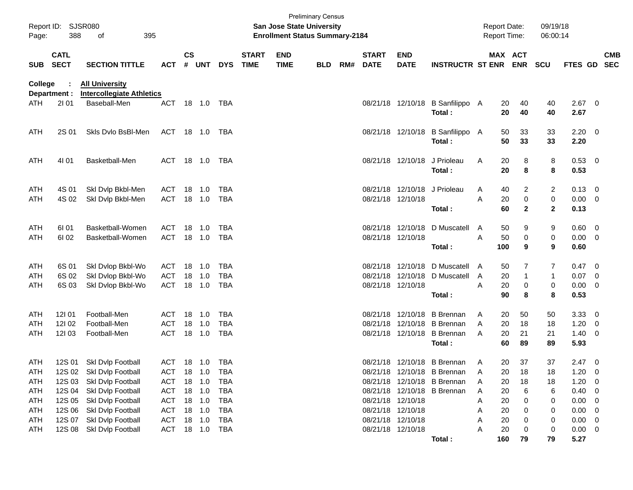| Report ID:<br>Page: | 388                        | SJSR080<br>395<br>οf                                                      |                          |               |                  |            |                             | San Jose State University<br><b>Enrollment Status Summary-2184</b> | <b>Preliminary Census</b> |     |                             |                                        |                                        |        | <b>Report Date:</b><br><b>Report Time:</b> |                     | 09/19/18<br>06:00:14 |              |                          |                          |
|---------------------|----------------------------|---------------------------------------------------------------------------|--------------------------|---------------|------------------|------------|-----------------------------|--------------------------------------------------------------------|---------------------------|-----|-----------------------------|----------------------------------------|----------------------------------------|--------|--------------------------------------------|---------------------|----------------------|--------------|--------------------------|--------------------------|
| <b>SUB</b>          | <b>CATL</b><br><b>SECT</b> | <b>SECTION TITTLE</b>                                                     | <b>ACT</b>               | $\mathsf{cs}$ | # UNT            | <b>DYS</b> | <b>START</b><br><b>TIME</b> | <b>END</b><br><b>TIME</b>                                          | <b>BLD</b>                | RM# | <b>START</b><br><b>DATE</b> | <b>END</b><br><b>DATE</b>              | <b>INSTRUCTR ST ENR</b>                |        | MAX ACT                                    | <b>ENR</b>          | <b>SCU</b>           | FTES GD      |                          | <b>CMB</b><br><b>SEC</b> |
| College<br>ATH      | Department :<br>2101       | <b>All University</b><br><b>Intercollegiate Athletics</b><br>Baseball-Men | <b>ACT</b>               |               | 18 1.0           | TBA        |                             |                                                                    |                           |     |                             | 08/21/18 12/10/18                      | B Sanfilippo A                         |        | 20                                         | 40                  | 40                   | 2.67         | $\overline{\phantom{0}}$ |                          |
|                     |                            |                                                                           |                          |               |                  |            |                             |                                                                    |                           |     |                             |                                        | Total:                                 |        | 20                                         | 40                  | 40                   | 2.67         |                          |                          |
| ATH                 | 2S 01                      | Skls Dvlo BsBI-Men                                                        | ACT                      |               | 18 1.0           | TBA        |                             |                                                                    |                           |     |                             | 08/21/18 12/10/18                      | <b>B</b> Sanfilippo<br>Total:          | - A    | 50<br>50                                   | 33<br>33            | 33<br>33             | 2.20<br>2.20 | - 0                      |                          |
| ATH                 | 4101                       | Basketball-Men                                                            | <b>ACT</b>               |               | 18  1.0          | TBA        |                             |                                                                    |                           |     |                             | 08/21/18 12/10/18                      | J Prioleau<br>Total:                   | A      | 20<br>20                                   | 8<br>8              | 8<br>8               | 0.53<br>0.53 | $\overline{\phantom{0}}$ |                          |
| ATH                 | 4S 01                      | Skl Dvlp Bkbl-Men                                                         | ACT                      | 18            | 1.0              | TBA        |                             |                                                                    |                           |     |                             | 08/21/18 12/10/18                      | J Prioleau                             | A      | 40                                         | 2                   | 2                    | 0.13         | - 0                      |                          |
| <b>ATH</b>          | 4S 02                      | Ski Dvip Bkbl-Men                                                         | <b>ACT</b>               |               | 18 1.0           | TBA        |                             |                                                                    |                           |     |                             | 08/21/18 12/10/18                      | Total:                                 | Α      | 20<br>60                                   | 0<br>$\overline{2}$ | 0<br>$\mathbf{2}$    | 0.00<br>0.13 | - 0                      |                          |
| ATH                 | 61 01                      | Basketball-Women                                                          | <b>ACT</b>               | 18            | 1.0              | TBA        |                             |                                                                    |                           |     |                             | 08/21/18 12/10/18                      | D Muscatell                            | A      | 50                                         | 9                   | 9                    | 0.60         | $\overline{0}$           |                          |
| ATH                 | 61 02                      | Basketball-Women                                                          | <b>ACT</b>               |               | 18 1.0           | TBA        |                             |                                                                    |                           |     |                             | 08/21/18 12/10/18                      | Total:                                 | A      | 50<br>100                                  | 0<br>9              | 0<br>9               | 0.00<br>0.60 | - 0                      |                          |
| ATH                 | 6S 01                      | Skl Dvlop Bkbl-Wo                                                         | ACT                      | 18            | 1.0              | TBA        |                             |                                                                    |                           |     | 08/21/18                    | 12/10/18                               | D Muscatell A                          |        | 50                                         | 7                   | 7                    | 0.47         | - 0                      |                          |
| ATH                 | 6S 02                      | Skl Dvlop Bkbl-Wo                                                         | <b>ACT</b>               | 18            | 1.0              | TBA        |                             |                                                                    |                           |     |                             | 08/21/18 12/10/18                      | D Muscatell                            | A      | 20                                         | $\mathbf 1$         | 1                    | 0.07         | - 0                      |                          |
| <b>ATH</b>          | 6S 03                      | Skl Dvlop Bkbl-Wo                                                         | <b>ACT</b>               | 18            | 1.0              | TBA        |                             |                                                                    |                           |     |                             | 08/21/18 12/10/18                      | Total:                                 | A      | 20<br>90                                   | 0<br>8              | 0<br>8               | 0.00<br>0.53 | 0                        |                          |
| ATH                 | 12101                      | Football-Men                                                              | <b>ACT</b>               | 18            | 1.0              | TBA        |                             |                                                                    |                           |     | 08/21/18                    |                                        | 12/10/18 B Brennan                     | A      | 20                                         | 50                  | 50                   | 3.33         | $\overline{0}$           |                          |
| ATH                 | 121 02<br>12103            | Football-Men<br>Football-Men                                              | <b>ACT</b><br><b>ACT</b> | 18            | 1.0<br>18 1.0    | TBA<br>TBA |                             |                                                                    |                           |     | 08/21/18                    |                                        | 12/10/18 B Brennan<br><b>B</b> Brennan | A<br>A | 20<br>20                                   | 18<br>21            | 18                   | 1.20         | 0                        |                          |
| ATH                 |                            |                                                                           |                          |               |                  |            |                             |                                                                    |                           |     |                             | 08/21/18 12/10/18                      | Total:                                 |        | 60                                         | 89                  | 21<br>89             | 1.40<br>5.93 | 0                        |                          |
| ATH                 | 12S 01                     | Skl Dvlp Football                                                         | ACT                      |               | 18 1.0           | TBA        |                             |                                                                    |                           |     |                             |                                        | 08/21/18 12/10/18 B Brennan            | A      | 20                                         | 37                  | 37                   | 2.47         | $\overline{0}$           |                          |
| ATH                 |                            | 12S 02 Skl Dvlp Football                                                  |                          |               | ACT 18 1.0 TBA   |            |                             |                                                                    |                           |     |                             |                                        | 08/21/18 12/10/18 B Brennan            | A      | 20                                         | 18                  | 18                   | 1.20         | - 0                      |                          |
| ATH                 |                            | 12S 03 Skl Dvlp Football                                                  | ACT                      |               | 18 1.0           | TBA        |                             |                                                                    |                           |     |                             |                                        | 08/21/18 12/10/18 B Brennan            | A      | 20                                         | 18                  | 18                   | 1.20         | 0                        |                          |
| ATH                 | 12S 04                     | Skl Dvlp Football                                                         | ACT                      |               | 18 1.0           | TBA        |                             |                                                                    |                           |     |                             |                                        | 08/21/18 12/10/18 B Brennan            | Α      | 20                                         | 6                   | 6                    | 0.40         | 0                        |                          |
| ATH                 | 12S 05                     | Skl Dvlp Football                                                         | <b>ACT</b>               |               | 18 1.0           | TBA        |                             |                                                                    |                           |     |                             | 08/21/18 12/10/18                      |                                        | A      | 20                                         | 0                   | 0                    | 0.00         | 0                        |                          |
| ATH<br>ATH          | <b>12S 06</b><br>12S 07    | Skl Dvlp Football<br>Skl Dvlp Football                                    | <b>ACT</b><br><b>ACT</b> |               | 18 1.0<br>18 1.0 | TBA<br>TBA |                             |                                                                    |                           |     |                             | 08/21/18 12/10/18<br>08/21/18 12/10/18 |                                        | Α<br>Α | 20<br>20                                   | 0<br>0              | 0<br>0               | 0.00<br>0.00 | 0<br>0                   |                          |
| ATH                 | 12S 08                     | Skl Dvlp Football                                                         | ACT                      |               | 18 1.0           | TBA        |                             |                                                                    |                           |     |                             | 08/21/18 12/10/18                      |                                        | Α      | 20                                         | 0                   | 0                    | 0.00         | - 0                      |                          |
|                     |                            |                                                                           |                          |               |                  |            |                             |                                                                    |                           |     |                             |                                        | Total:                                 |        | 160                                        | 79                  | 79                   | 5.27         |                          |                          |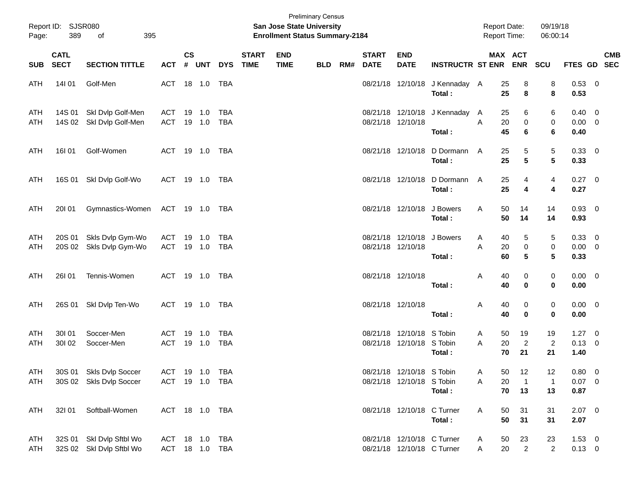| Page:      | Report ID: SJSR080<br>389  | 395<br>of                                            |                       |                    |                  |                          |                             | <b>San Jose State University</b><br><b>Enrollment Status Summary-2184</b> | <b>Preliminary Census</b> |     |                             |                                                          |                                          | <b>Report Date:</b><br><b>Report Time:</b> |                            | 09/19/18<br>06:00:14              |                                       |                           |
|------------|----------------------------|------------------------------------------------------|-----------------------|--------------------|------------------|--------------------------|-----------------------------|---------------------------------------------------------------------------|---------------------------|-----|-----------------------------|----------------------------------------------------------|------------------------------------------|--------------------------------------------|----------------------------|-----------------------------------|---------------------------------------|---------------------------|
| <b>SUB</b> | <b>CATL</b><br><b>SECT</b> | <b>SECTION TITTLE</b>                                | <b>ACT</b>            | $\mathsf{cs}$<br># | UNT              | <b>DYS</b>               | <b>START</b><br><b>TIME</b> | <b>END</b><br><b>TIME</b>                                                 | <b>BLD</b>                | RM# | <b>START</b><br><b>DATE</b> | <b>END</b><br><b>DATE</b>                                | <b>INSTRUCTR ST ENR</b>                  |                                            | MAX ACT<br>ENR SCU         |                                   |                                       | <b>CMB</b><br>FTES GD SEC |
| ATH        | 14101                      | Golf-Men                                             | ACT 18 1.0            |                    |                  | TBA                      |                             |                                                                           |                           |     |                             |                                                          | 08/21/18 12/10/18 J Kennaday A<br>Total: | 25<br>25                                   | 8<br>8                     | 8<br>8                            | 0.53 0<br>0.53                        |                           |
| ATH<br>ATH | 14S 01<br>14S 02           | Skl Dvlp Golf-Men<br>Skl Dvlp Golf-Men               | ACT<br><b>ACT</b>     |                    | 19 1.0<br>19 1.0 | <b>TBA</b><br><b>TBA</b> |                             |                                                                           |                           |     |                             | 08/21/18 12/10/18<br>08/21/18 12/10/18                   | J Kennaday<br>Total:                     | 25<br>A<br>20<br>A<br>45                   | 6<br>0<br>6                | 6<br>0<br>6                       | $0.40 \quad 0$<br>$0.00 \t 0$<br>0.40 |                           |
| ATH        | 16101                      | Golf-Women                                           | ACT 19 1.0 TBA        |                    |                  |                          |                             |                                                                           |                           |     |                             | 08/21/18 12/10/18                                        | D Dormann<br>Total:                      | 25<br>A<br>25                              | 5<br>$5\phantom{.0}$       | $\,$ 5 $\,$<br>$5\phantom{.0}$    | 0.33 0<br>0.33                        |                           |
| ATH        | 16S 01                     | Skl Dvlp Golf-Wo                                     | ACT 19 1.0 TBA        |                    |                  |                          |                             |                                                                           |                           |     |                             | 08/21/18 12/10/18                                        | D Dormann<br>Total:                      | 25<br>A<br>25                              | 4<br>4                     | 4<br>4                            | 0.27 0<br>0.27                        |                           |
| ATH        | 20101                      | Gymnastics-Women                                     | ACT 19 1.0 TBA        |                    |                  |                          |                             |                                                                           |                           |     |                             | 08/21/18 12/10/18                                        | J Bowers<br>Total:                       | Α<br>50<br>50                              | 14<br>14                   | 14<br>14                          | 0.93 0<br>0.93                        |                           |
| ATH<br>ATH | 20S 01<br>20S 02           | Skls Dvlp Gym-Wo<br>Skls Dvlp Gym-Wo                 | ACT<br><b>ACT</b>     |                    | 19 1.0<br>19 1.0 | <b>TBA</b><br>TBA        |                             |                                                                           |                           |     | 08/21/18 12/10/18           | 08/21/18 12/10/18                                        | J Bowers<br>Total:                       | 40<br>A<br>20<br>A<br>60                   | 5<br>0<br>5                | 5<br>$\pmb{0}$<br>$5\phantom{.0}$ | 0.33 0<br>$0.00 \t 0$<br>0.33         |                           |
| ATH        | <b>26101</b>               | Tennis-Women                                         | ACT 19 1.0 TBA        |                    |                  |                          |                             |                                                                           |                           |     | 08/21/18 12/10/18           |                                                          | Total:                                   | 40<br>A<br>40                              | 0<br>$\mathbf 0$           | 0<br>0                            | $0.00 \t 0$<br>0.00                   |                           |
| ATH        | 26S 01                     | Skl Dvlp Ten-Wo                                      | ACT 19 1.0 TBA        |                    |                  |                          |                             |                                                                           |                           |     | 08/21/18 12/10/18           |                                                          | Total:                                   | 40<br>A<br>40                              | 0<br>$\mathbf 0$           | 0<br>$\bf{0}$                     | $0.00 \t 0$<br>0.00                   |                           |
| ATH<br>ATH | 30101<br>30102             | Soccer-Men<br>Soccer-Men                             | ACT<br><b>ACT</b>     |                    | 19 1.0<br>19 1.0 | <b>TBA</b><br><b>TBA</b> |                             |                                                                           |                           |     |                             | 08/21/18 12/10/18 S Tobin<br>08/21/18 12/10/18 S Tobin   | Total:                                   | 50<br>A<br>20<br>Α<br>70                   | 19<br>$\overline{2}$<br>21 | 19<br>$\overline{2}$<br>21        | $1.27 \t 0$<br>$0.13 \ 0$<br>1.40     |                           |
| ATH<br>ATH |                            | 30S 01 Skls Dvlp Soccer<br>30S 02 Skls Dvlp Soccer   | ACT<br>ACT 19 1.0 TBA |                    | 19  1.0  TBA     |                          |                             |                                                                           |                           |     |                             | 08/21/18 12/10/18 S Tobin<br>08/21/18 12/10/18 S Tobin   | Total:                                   | Α<br>$50\,$<br>20<br>Α<br>70               | 12<br>$\overline{1}$<br>13 | 12<br>$\mathbf 1$<br>13           | $0.80 \t 0$<br>$0.07 \t 0$<br>0.87    |                           |
| ATH        | 32101                      | Softball-Women                                       | ACT 18 1.0 TBA        |                    |                  |                          |                             |                                                                           |                           |     |                             | 08/21/18 12/10/18 C Turner                               | Total:                                   | 50<br>A<br>50                              | 31<br>31                   | 31<br>31                          | $2.07$ 0<br>2.07                      |                           |
| ATH<br>ATH |                            | 32S 01 SkI Dvlp Sftbl Wo<br>32S 02 Skl Dvlp Sftbl Wo | ACT<br>ACT 18 1.0 TBA |                    | 18  1.0          | <b>TBA</b>               |                             |                                                                           |                           |     |                             | 08/21/18 12/10/18 C Turner<br>08/21/18 12/10/18 C Turner |                                          | 50<br>A<br>20<br>A                         | 23<br>$\overline{2}$       | 23<br>$\overline{2}$              | $1.53 \t 0$<br>$0.13 \ 0$             |                           |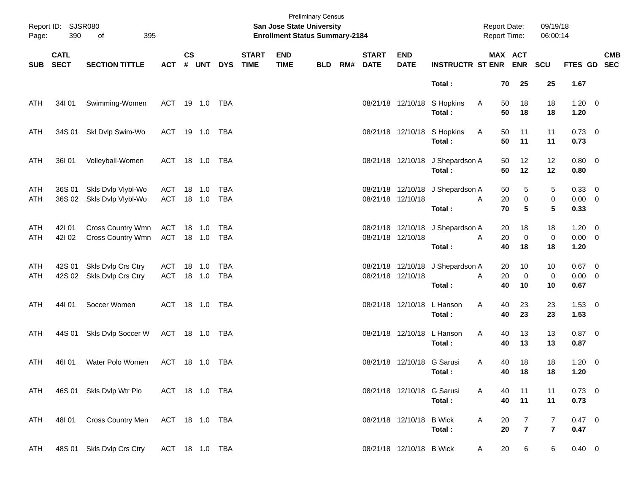| Page:      | Report ID: SJSR080<br>390  | 395<br>of                                |                          |               |        |                   |                             | San Jose State University<br><b>Enrollment Status Summary-2184</b> | <b>Preliminary Census</b> |     |                             |                            |                                            | <b>Report Date:</b><br><b>Report Time:</b> |                      |                                  | 09/19/18<br>06:00:14         |                                    |            |
|------------|----------------------------|------------------------------------------|--------------------------|---------------|--------|-------------------|-----------------------------|--------------------------------------------------------------------|---------------------------|-----|-----------------------------|----------------------------|--------------------------------------------|--------------------------------------------|----------------------|----------------------------------|------------------------------|------------------------------------|------------|
| <b>SUB</b> | <b>CATL</b><br><b>SECT</b> | <b>SECTION TITTLE</b>                    | <b>ACT</b>               | $\mathsf{cs}$ | # UNT  | <b>DYS</b>        | <b>START</b><br><b>TIME</b> | <b>END</b><br><b>TIME</b>                                          | <b>BLD</b>                | RM# | <b>START</b><br><b>DATE</b> | <b>END</b><br><b>DATE</b>  | <b>INSTRUCTR ST ENR ENR</b>                |                                            | MAX ACT              | <b>SCU</b>                       |                              | FTES GD SEC                        | <b>CMB</b> |
|            |                            |                                          |                          |               |        |                   |                             |                                                                    |                           |     |                             |                            | Total:                                     |                                            | 25<br>70             |                                  | 25                           | 1.67                               |            |
| ATH        | 34101                      | Swimming-Women                           | ACT 19 1.0 TBA           |               |        |                   |                             |                                                                    |                           |     |                             | 08/21/18 12/10/18          | S Hopkins<br>Total:                        | A                                          | 50<br>50             | 18<br>18                         | 18<br>18                     | $1.20 \t 0$<br>1.20                |            |
| ATH        | 34S 01                     | Skl Dvlp Swim-Wo                         | ACT 19 1.0 TBA           |               |        |                   |                             |                                                                    |                           |     |                             |                            | 08/21/18 12/10/18 S Hopkins<br>Total:      | A                                          | 50<br>11<br>50<br>11 |                                  | 11<br>11                     | $0.73 \quad 0$<br>0.73             |            |
| ATH        | 36I 01                     | Volleyball-Women                         | ACT 18 1.0 TBA           |               |        |                   |                             |                                                                    |                           |     |                             |                            | 08/21/18 12/10/18 J Shepardson A<br>Total: |                                            | 50<br>50             | 12<br>12                         | 12<br>12                     | $0.80 \ 0$<br>0.80                 |            |
| ATH<br>ATH | 36S 01<br>36S 02           | Skls Dvlp Vlybl-Wo<br>Skls Dvlp Vlybl-Wo | ACT<br>ACT 18 1.0        |               | 18 1.0 | <b>TBA</b><br>TBA |                             |                                                                    |                           |     |                             | 08/21/18 12/10/18          | 08/21/18 12/10/18 J Shepardson A<br>Total: | A                                          | 50<br>20<br>70       | 5<br>0<br>5                      | 5<br>$\pmb{0}$<br>5          | 0.33 0<br>$0.00 \t 0$<br>0.33      |            |
| ATH<br>ATH | 42101<br>42102             | Cross Country Wmn<br>Cross Country Wmn   | ACT<br>ACT 18 1.0        |               | 18 1.0 | TBA<br>TBA        |                             |                                                                    |                           |     |                             | 08/21/18 12/10/18          | 08/21/18 12/10/18 J Shepardson A<br>Total: | A                                          | 20<br>20<br>40       | 18<br>$\mathbf 0$<br>18          | 18<br>$\pmb{0}$<br>18        | $1.20 \t 0$<br>$0.00 \t 0$<br>1.20 |            |
| ATH<br>ATH | 42S 01<br>42S 02           | Skls Dvlp Crs Ctry<br>Skls Dvlp Crs Ctry | ACT 18 1.0<br>ACT 18 1.0 |               |        | <b>TBA</b><br>TBA |                             |                                                                    |                           |     |                             | 08/21/18 12/10/18          | 08/21/18 12/10/18 J Shepardson A<br>Total: | A                                          | 20<br>20<br>40       | 10<br>$\mathbf 0$<br>10          | 10<br>$\pmb{0}$<br>10        | $0.67$ 0<br>$0.00 \t 0$<br>0.67    |            |
| ATH        | 44I 01                     | Soccer Women                             | ACT 18 1.0 TBA           |               |        |                   |                             |                                                                    |                           |     |                             | 08/21/18 12/10/18          | L Hanson<br>Total:                         | Α                                          | 40<br>40             | 23<br>23                         | 23<br>23                     | $1.53 \t 0$<br>1.53                |            |
| ATH        | 44S 01                     | Skls Dvlp Soccer W                       | ACT 18 1.0 TBA           |               |        |                   |                             |                                                                    |                           |     |                             |                            | 08/21/18 12/10/18 L Hanson<br>Total:       | Α                                          | 40<br>40             | 13<br>13                         | 13<br>13                     | $0.87$ 0<br>0.87                   |            |
| ATH        | 46I01                      | Water Polo Women                         | ACT 18 1.0 TBA           |               |        |                   |                             |                                                                    |                           |     |                             | 08/21/18 12/10/18 G Sarusi | Total:                                     | A                                          | 18<br>40<br>40<br>18 |                                  | 18<br>18                     | $1.20 \t 0$<br>1.20                |            |
| ATH        |                            | 46S 01 Skls Dvlp Wtr Plo                 | ACT 18 1.0 TBA           |               |        |                   |                             |                                                                    |                           |     |                             | 08/21/18 12/10/18 G Sarusi | Total:                                     | A                                          | 11<br>40<br>11<br>40 |                                  | 11<br>11                     | 0.73 0<br>0.73                     |            |
| ATH        | 48I 01                     | <b>Cross Country Men</b>                 | ACT 18 1.0 TBA           |               |        |                   |                             |                                                                    |                           |     |                             | 08/21/18 12/10/18          | <b>B</b> Wick<br>Total:                    | A                                          | 20<br>20             | $\overline{7}$<br>$\overline{7}$ | 7<br>$\overline{\mathbf{r}}$ | 0.47 0<br>0.47                     |            |
| ATH        | 48S 01                     | Skls Dvlp Crs Ctry                       | ACT 18 1.0 TBA           |               |        |                   |                             |                                                                    |                           |     |                             | 08/21/18 12/10/18 B Wick   |                                            | A                                          | 20                   | 6                                | 6                            | $0.40 \ 0$                         |            |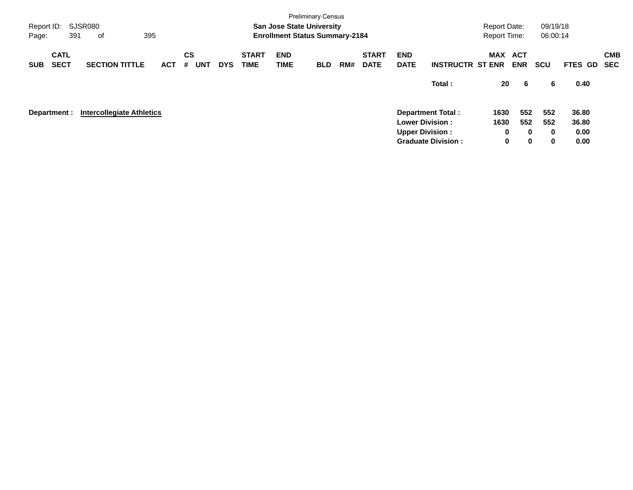| Page:      | <b>Preliminary Census</b><br>SJSR080<br><b>San Jose State University</b><br>Report ID:<br>395<br>391<br><b>Enrollment Status Summary-2184</b><br>оf |  |                                  |            |                              |            |                             |                           |            |     |                             |                           |                           | <b>Report Date:</b><br><b>Report Time:</b> |                          | 09/19/18<br>06:00:14 |         |                          |
|------------|-----------------------------------------------------------------------------------------------------------------------------------------------------|--|----------------------------------|------------|------------------------------|------------|-----------------------------|---------------------------|------------|-----|-----------------------------|---------------------------|---------------------------|--------------------------------------------|--------------------------|----------------------|---------|--------------------------|
| <b>SUB</b> | <b>CATL</b><br><b>SECT</b>                                                                                                                          |  | <b>SECTION TITTLE</b>            | <b>ACT</b> | <b>CS</b><br><b>UNT</b><br># | <b>DYS</b> | <b>START</b><br><b>TIME</b> | <b>END</b><br><b>TIME</b> | <b>BLD</b> | RM# | <b>START</b><br><b>DATE</b> | <b>END</b><br><b>DATE</b> | <b>INSTRUCTR ST ENR</b>   | <b>MAX</b>                                 | <b>ACT</b><br><b>ENR</b> | <b>SCU</b>           | FTES GD | <b>CMB</b><br><b>SEC</b> |
|            |                                                                                                                                                     |  |                                  |            |                              |            |                             |                           |            |     |                             |                           | Total:                    | 20                                         | -6                       | 6                    | 0.40    |                          |
|            | Department :                                                                                                                                        |  | <b>Intercollegiate Athletics</b> |            |                              |            |                             |                           |            |     |                             |                           | Department Total:         | 1630                                       | 552                      | 552                  | 36.80   |                          |
|            |                                                                                                                                                     |  |                                  |            |                              |            |                             |                           |            |     |                             | <b>Lower Division:</b>    |                           | 1630                                       | 552                      | 552                  | 36.80   |                          |
|            |                                                                                                                                                     |  |                                  |            |                              |            |                             |                           |            |     |                             | <b>Upper Division:</b>    |                           | 0                                          | $\bf{0}$                 | $\bf{0}$             | 0.00    |                          |
|            |                                                                                                                                                     |  |                                  |            |                              |            |                             |                           |            |     |                             |                           | <b>Graduate Division:</b> | 0                                          | $\mathbf 0$              | 0                    | 0.00    |                          |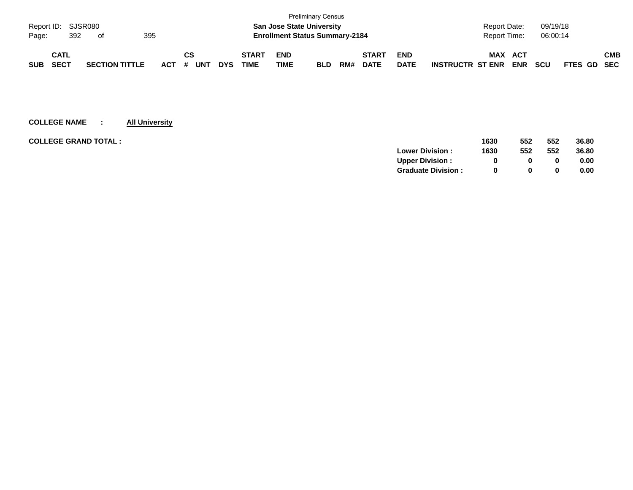|                           |             |  |                       |  |     |    |            |            |              |             | <b>Preliminary Census</b>             |     |              |             |                         |                     |            |            |             |            |
|---------------------------|-------------|--|-----------------------|--|-----|----|------------|------------|--------------|-------------|---------------------------------------|-----|--------------|-------------|-------------------------|---------------------|------------|------------|-------------|------------|
| Report ID: SJSR080        |             |  |                       |  |     |    |            |            |              |             | <b>San Jose State University</b>      |     |              |             |                         | <b>Report Date:</b> |            | 09/19/18   |             |            |
| 395<br>392<br>Page:<br>of |             |  |                       |  |     |    |            |            |              |             | <b>Enrollment Status Summary-2184</b> |     |              |             |                         | Report Time:        |            | 06:00:14   |             |            |
|                           |             |  |                       |  |     |    |            |            |              |             |                                       |     |              |             |                         |                     |            |            |             |            |
|                           | <b>CATL</b> |  |                       |  |     | СS |            |            | <b>START</b> | <b>END</b>  |                                       |     | <b>START</b> | <b>END</b>  |                         | <b>MAX ACT</b>      |            |            |             | <b>CMB</b> |
| <b>SUB</b>                | <b>SECT</b> |  | <b>SECTION TITTLE</b> |  | ACT | #  | <b>UNT</b> | <b>DYS</b> | TIME         | <b>TIME</b> | <b>BLD</b>                            | RM# | <b>DATE</b>  | <b>DATE</b> | <b>INSTRUCTR ST ENR</b> |                     | <b>ENR</b> | <b>SCU</b> | FTES GD SEC |            |

| <b>COLLEGE GRAND TOTAL :</b> | 1630 | 552 | 552      | 36.80 |
|------------------------------|------|-----|----------|-------|
| <b>Lower Division:</b>       | 1630 | 552 | 552      | 36.80 |
| <b>Upper Division:</b>       |      | 0   | 0        | 0.00  |
| <b>Graduate Division:</b>    |      | 0   | $\bf{0}$ | 0.00  |
|                              |      |     |          |       |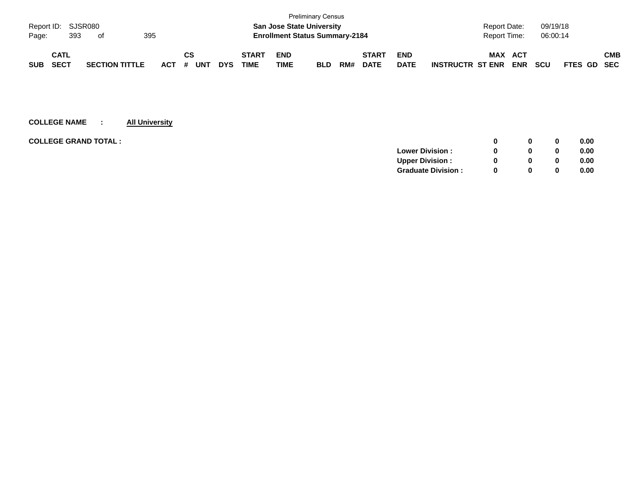|                           |                    |  |                       |         |    |            |            |              |                                       | <b>Preliminary Census</b> |     |              |             |                         |                     |            |            |             |            |
|---------------------------|--------------------|--|-----------------------|---------|----|------------|------------|--------------|---------------------------------------|---------------------------|-----|--------------|-------------|-------------------------|---------------------|------------|------------|-------------|------------|
|                           | Report ID: SJSR080 |  |                       |         |    |            |            |              | <b>San Jose State University</b>      |                           |     |              |             |                         | <b>Report Date:</b> |            | 09/19/18   |             |            |
| 395<br>393<br>Page:<br>of |                    |  |                       |         |    |            |            |              | <b>Enrollment Status Summary-2184</b> |                           |     |              |             |                         | Report Time:        |            | 06:00:14   |             |            |
|                           | <b>CATL</b>        |  |                       |         | СS |            |            | <b>START</b> | <b>END</b>                            |                           |     | <b>START</b> | <b>END</b>  |                         | <b>MAX</b>          | ACT        |            |             | <b>CMB</b> |
| <b>SUB</b>                | <b>SECT</b>        |  | <b>SECTION TITTLE</b> | $ACT$ # |    | <b>UNT</b> | <b>DYS</b> | TIME         | <b>TIME</b>                           | <b>BLD</b>                | RM# | <b>DATE</b>  | <b>DATE</b> | <b>INSTRUCTR ST ENR</b> |                     | <b>ENR</b> | <b>SCU</b> | FTES GD SEC |            |

| <b>COLLEGE GRAND TOTAL :</b> |                           | 0            | 0        | 0.00 |
|------------------------------|---------------------------|--------------|----------|------|
|                              | <b>Lower Division:</b>    | 0            | 0        | 0.00 |
|                              | <b>Upper Division:</b>    | 0            | 0        | 0.00 |
|                              | <b>Graduate Division:</b> | <sup>0</sup> | $\bf{0}$ | 0.00 |
|                              |                           |              |          |      |